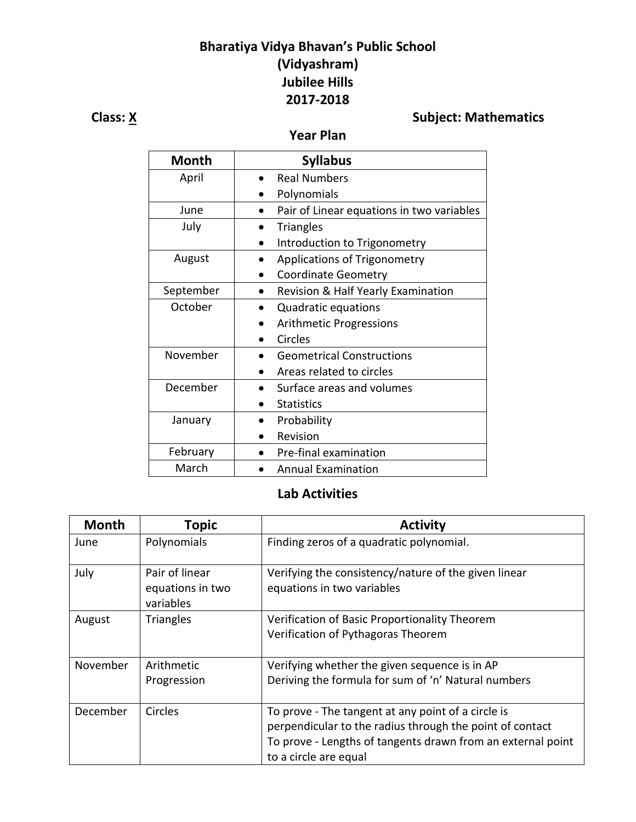## **Bharatiya Vidya Bhavan's Public School (Vidyashram) Jubilee Hills 2017-2018**

# **Class: X** Subject: Mathematics

## **Year Plan**

| <b>Month</b> | <b>Syllabus</b>                           |
|--------------|-------------------------------------------|
| April        | <b>Real Numbers</b>                       |
|              | Polynomials                               |
| June         | Pair of Linear equations in two variables |
| July         | <b>Triangles</b>                          |
|              | Introduction to Trigonometry              |
| August       | Applications of Trigonometry              |
|              | <b>Coordinate Geometry</b>                |
| September    | Revision & Half Yearly Examination        |
| October      | Quadratic equations                       |
|              | <b>Arithmetic Progressions</b>            |
|              | Circles                                   |
| November     | <b>Geometrical Constructions</b>          |
|              | Areas related to circles                  |
| December     | Surface areas and volumes                 |
|              | <b>Statistics</b>                         |
| January      | Probability                               |
|              | Revision                                  |
| February     | Pre-final examination                     |
| March        | <b>Annual Examination</b>                 |

## **Lab Activities**

| <b>Month</b> | <b>Topic</b>                                    | <b>Activity</b>                                                                                                                                                                                        |
|--------------|-------------------------------------------------|--------------------------------------------------------------------------------------------------------------------------------------------------------------------------------------------------------|
| June         | Polynomials                                     | Finding zeros of a quadratic polynomial.                                                                                                                                                               |
| July         | Pair of linear<br>equations in two<br>variables | Verifying the consistency/nature of the given linear<br>equations in two variables                                                                                                                     |
| August       | <b>Triangles</b>                                | Verification of Basic Proportionality Theorem<br>Verification of Pythagoras Theorem                                                                                                                    |
| November     | Arithmetic<br>Progression                       | Verifying whether the given sequence is in AP<br>Deriving the formula for sum of 'n' Natural numbers                                                                                                   |
| December     | Circles                                         | To prove - The tangent at any point of a circle is<br>perpendicular to the radius through the point of contact<br>To prove - Lengths of tangents drawn from an external point<br>to a circle are equal |